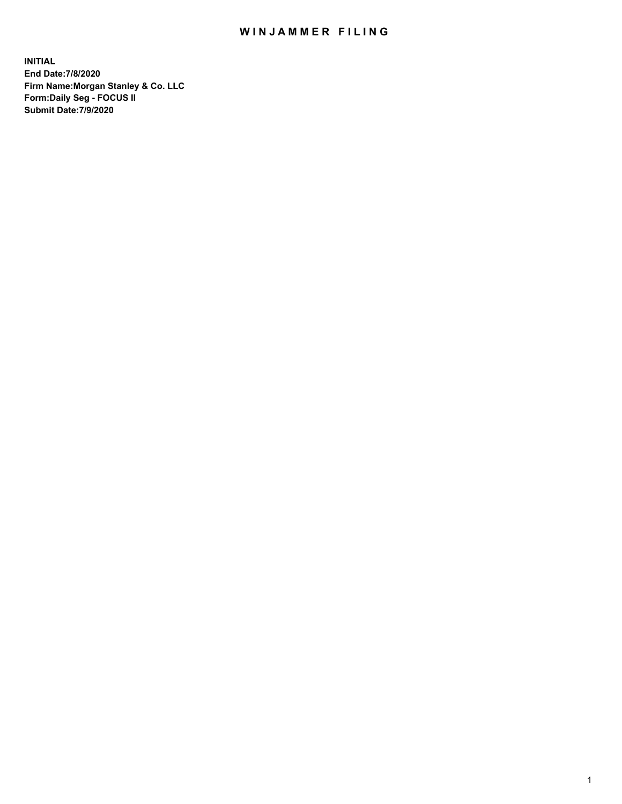## WIN JAMMER FILING

**INITIAL End Date:7/8/2020 Firm Name:Morgan Stanley & Co. LLC Form:Daily Seg - FOCUS II Submit Date:7/9/2020**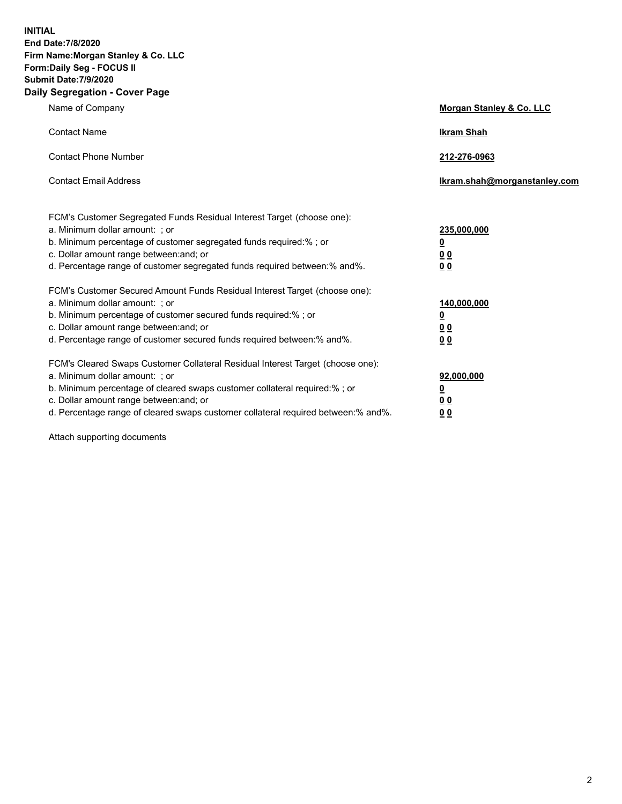**INITIAL End Date:7/8/2020 Firm Name:Morgan Stanley & Co. LLC Form:Daily Seg - FOCUS II Submit Date:7/9/2020 Daily Segregation - Cover Page**

| Name of Company                                                                                                                                                                                                                                                                                                                | Morgan Stanley & Co. LLC                        |
|--------------------------------------------------------------------------------------------------------------------------------------------------------------------------------------------------------------------------------------------------------------------------------------------------------------------------------|-------------------------------------------------|
| <b>Contact Name</b>                                                                                                                                                                                                                                                                                                            | <b>Ikram Shah</b>                               |
| <b>Contact Phone Number</b>                                                                                                                                                                                                                                                                                                    | 212-276-0963                                    |
| <b>Contact Email Address</b>                                                                                                                                                                                                                                                                                                   | Ikram.shah@morganstanley.com                    |
| FCM's Customer Segregated Funds Residual Interest Target (choose one):<br>a. Minimum dollar amount: ; or<br>b. Minimum percentage of customer segregated funds required:%; or<br>c. Dollar amount range between: and; or<br>d. Percentage range of customer segregated funds required between:% and%.                          | 235,000,000<br><u>0</u><br><u>00</u><br>0 Q     |
| FCM's Customer Secured Amount Funds Residual Interest Target (choose one):<br>a. Minimum dollar amount: ; or<br>b. Minimum percentage of customer secured funds required:%; or<br>c. Dollar amount range between: and; or<br>d. Percentage range of customer secured funds required between: % and %.                          | 140,000,000<br><u>0</u><br><u>0 0</u><br>0 Q    |
| FCM's Cleared Swaps Customer Collateral Residual Interest Target (choose one):<br>a. Minimum dollar amount: ; or<br>b. Minimum percentage of cleared swaps customer collateral required:% ; or<br>c. Dollar amount range between: and; or<br>d. Percentage range of cleared swaps customer collateral required between:% and%. | 92,000,000<br><u>0</u><br>0 Q<br>0 <sub>0</sub> |

Attach supporting documents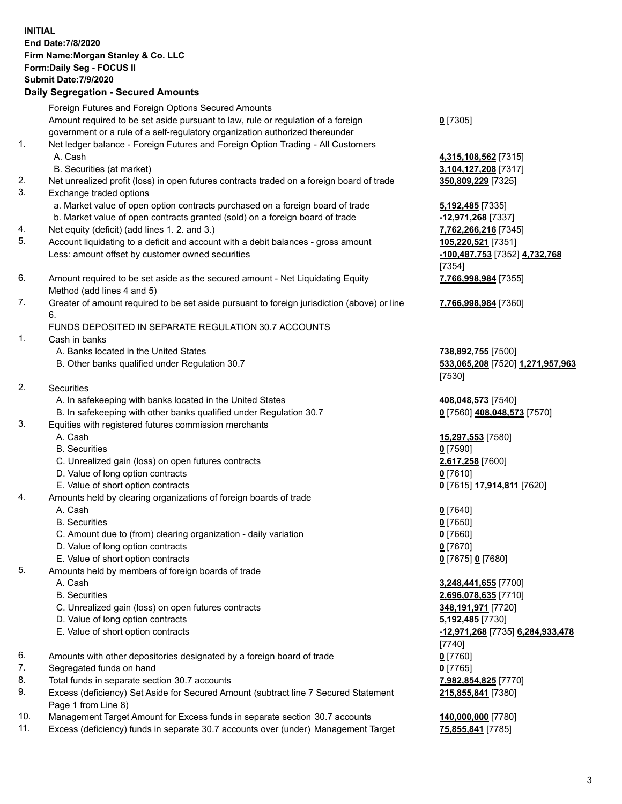|      | <b>INITIAL</b><br><b>End Date: 7/8/2020</b>                                                                                             |                                                      |
|------|-----------------------------------------------------------------------------------------------------------------------------------------|------------------------------------------------------|
|      | Firm Name: Morgan Stanley & Co. LLC<br>Form: Daily Seg - FOCUS II                                                                       |                                                      |
|      | <b>Submit Date: 7/9/2020</b>                                                                                                            |                                                      |
|      | <b>Daily Segregation - Secured Amounts</b>                                                                                              |                                                      |
|      | Foreign Futures and Foreign Options Secured Amounts<br>Amount required to be set aside pursuant to law, rule or regulation of a foreign | $0$ [7305]                                           |
|      | government or a rule of a self-regulatory organization authorized thereunder                                                            |                                                      |
| 1.   | Net ledger balance - Foreign Futures and Foreign Option Trading - All Customers                                                         |                                                      |
|      | A. Cash<br>B. Securities (at market)                                                                                                    | 4,315,108,562 [7315]<br>3,104,127,208 [7317]         |
| 2.   | Net unrealized profit (loss) in open futures contracts traded on a foreign board of trade                                               | 350,809,229 [7325]                                   |
| 3.   | Exchange traded options                                                                                                                 |                                                      |
|      | a. Market value of open option contracts purchased on a foreign board of trade                                                          | <b>5,192,485</b> [7335]                              |
|      | b. Market value of open contracts granted (sold) on a foreign board of trade                                                            | -12,971,268 [7337]                                   |
| 4.   | Net equity (deficit) (add lines 1.2. and 3.)                                                                                            | 7,762,266,216 [7345]                                 |
| 5.   | Account liquidating to a deficit and account with a debit balances - gross amount                                                       | 105,220,521 [7351]                                   |
|      | Less: amount offset by customer owned securities                                                                                        | -100,487,753 [7352] 4,732,768                        |
|      |                                                                                                                                         | [7354]                                               |
| 6.   | Amount required to be set aside as the secured amount - Net Liquidating Equity                                                          | 7,766,998,984 [7355]                                 |
| 7.   | Method (add lines 4 and 5)                                                                                                              |                                                      |
|      | Greater of amount required to be set aside pursuant to foreign jurisdiction (above) or line<br>6.                                       | 7,766,998,984 [7360]                                 |
|      | FUNDS DEPOSITED IN SEPARATE REGULATION 30.7 ACCOUNTS                                                                                    |                                                      |
| 1.   | Cash in banks                                                                                                                           |                                                      |
|      | A. Banks located in the United States                                                                                                   | 738,892,755 [7500]                                   |
|      | B. Other banks qualified under Regulation 30.7                                                                                          | 533,065,208 [7520] 1,271,957,963                     |
|      |                                                                                                                                         | [7530]                                               |
| 2.   | Securities                                                                                                                              |                                                      |
|      | A. In safekeeping with banks located in the United States                                                                               | 408,048,573 [7540]                                   |
|      | B. In safekeeping with other banks qualified under Regulation 30.7                                                                      | 0 [7560] 408,048,573 [7570]                          |
| 3.   | Equities with registered futures commission merchants                                                                                   |                                                      |
|      | A. Cash                                                                                                                                 | 15,297,553 [7580]                                    |
|      | <b>B.</b> Securities                                                                                                                    | $0$ [7590]                                           |
|      | C. Unrealized gain (loss) on open futures contracts<br>D. Value of long option contracts                                                | 2,617,258 [7600]<br><u>0</u> [7610]                  |
|      | E. Value of short option contracts                                                                                                      | 0 [7615] 17,914,811 [7620]                           |
| 4.   | Amounts held by clearing organizations of foreign boards of trade                                                                       |                                                      |
|      | A. Cash                                                                                                                                 | $0$ [7640]                                           |
|      | <b>B.</b> Securities                                                                                                                    | $0$ [7650]                                           |
|      | C. Amount due to (from) clearing organization - daily variation                                                                         | $0$ [7660]                                           |
|      | D. Value of long option contracts                                                                                                       | $0$ [7670]                                           |
|      | E. Value of short option contracts                                                                                                      | 0 [7675] 0 [7680]                                    |
| 5.   | Amounts held by members of foreign boards of trade                                                                                      |                                                      |
|      | A. Cash                                                                                                                                 | 3,248,441,655 [7700]                                 |
|      | <b>B.</b> Securities                                                                                                                    | 2,696,078,635 [7710]                                 |
|      | C. Unrealized gain (loss) on open futures contracts<br>D. Value of long option contracts                                                | 348,191,971 [7720]                                   |
|      | E. Value of short option contracts                                                                                                      | 5,192,485 [7730]<br>-12,971,268 [7735] 6,284,933,478 |
|      |                                                                                                                                         | $[7740]$                                             |
| 6.   | Amounts with other depositories designated by a foreign board of trade                                                                  | $0$ [7760]                                           |
| 7.   | Segregated funds on hand                                                                                                                | $0$ [7765]                                           |
| 8.   | Total funds in separate section 30.7 accounts                                                                                           | 7,982,854,825 [7770]                                 |
| 9.   | Excess (deficiency) Set Aside for Secured Amount (subtract line 7 Secured Statement                                                     | 215,855,841 [7380]                                   |
|      | Page 1 from Line 8)                                                                                                                     |                                                      |
| 10 I | Management Target Amount for Excess funds in senarate section 30.7 accounts                                                             | 140 000 000 [7780]                                   |

10. Management Target Amount for Excess funds in separate section 30.7 accounts **140,000,000** [7780] 11. Excess (deficiency) funds in separate 30.7 accounts over (under) Management Target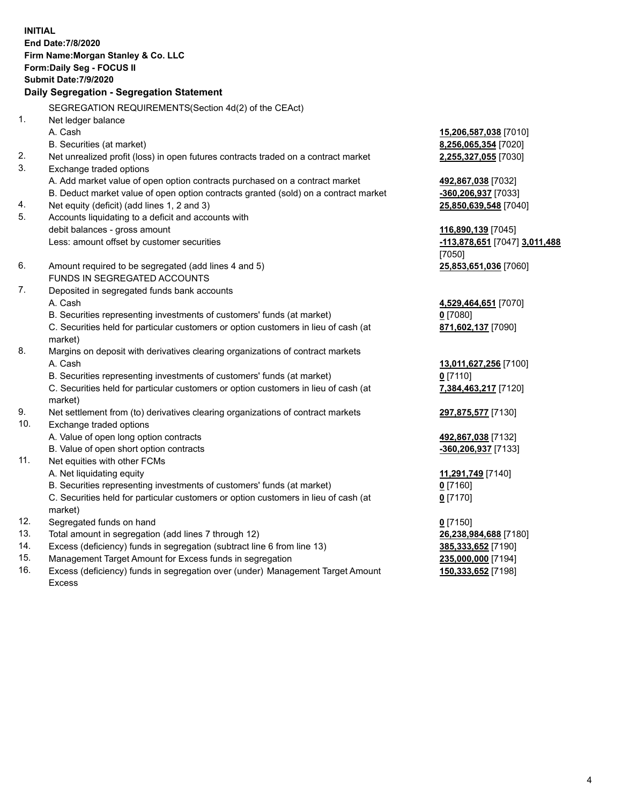**INITIAL End Date:7/8/2020 Firm Name:Morgan Stanley & Co. LLC Form:Daily Seg - FOCUS II Submit Date:7/9/2020 Daily Segregation - Segregation Statement** SEGREGATION REQUIREMENTS(Section 4d(2) of the CEAct) 1. Net ledger balance A. Cash **15,206,587,038** [7010] B. Securities (at market) **8,256,065,354** [7020] 2. Net unrealized profit (loss) in open futures contracts traded on a contract market **2,255,327,055** [7030] 3. Exchange traded options A. Add market value of open option contracts purchased on a contract market **492,867,038** [7032] B. Deduct market value of open option contracts granted (sold) on a contract market **-360,206,937** [7033] 4. Net equity (deficit) (add lines 1, 2 and 3) **25,850,639,548** [7040] 5. Accounts liquidating to a deficit and accounts with debit balances - gross amount **116,890,139** [7045] Less: amount offset by customer securities **-113,878,651** [7047] **3,011,488** [7050] 6. Amount required to be segregated (add lines 4 and 5) **25,853,651,036** [7060] FUNDS IN SEGREGATED ACCOUNTS 7. Deposited in segregated funds bank accounts A. Cash **4,529,464,651** [7070] B. Securities representing investments of customers' funds (at market) **0** [7080] C. Securities held for particular customers or option customers in lieu of cash (at market) **871,602,137** [7090] 8. Margins on deposit with derivatives clearing organizations of contract markets A. Cash **13,011,627,256** [7100] B. Securities representing investments of customers' funds (at market) **0** [7110] C. Securities held for particular customers or option customers in lieu of cash (at market) **7,384,463,217** [7120] 9. Net settlement from (to) derivatives clearing organizations of contract markets **297,875,577** [7130] 10. Exchange traded options A. Value of open long option contracts **492,867,038** [7132] B. Value of open short option contracts **and the set of our original contracts -360,206,937** [7133] 11. Net equities with other FCMs A. Net liquidating equity **11,291,749** [7140] B. Securities representing investments of customers' funds (at market) **0** [7160] C. Securities held for particular customers or option customers in lieu of cash (at market) **0** [7170] 12. Segregated funds on hand **0** [7150] 13. Total amount in segregation (add lines 7 through 12) **26,238,984,688** [7180] 14. Excess (deficiency) funds in segregation (subtract line 6 from line 13) **385,333,652** [7190]

- 15. Management Target Amount for Excess funds in segregation **235,000,000** [7194]
- 16. Excess (deficiency) funds in segregation over (under) Management Target Amount Excess

**150,333,652** [7198]